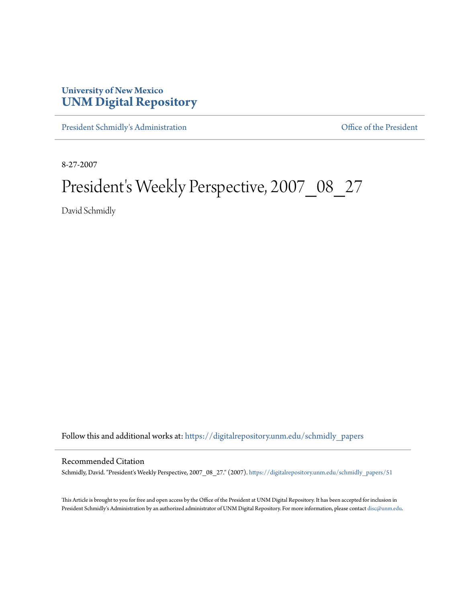## **University of New Mexico [UNM Digital Repository](https://digitalrepository.unm.edu?utm_source=digitalrepository.unm.edu%2Fschmidly_papers%2F51&utm_medium=PDF&utm_campaign=PDFCoverPages)**

[President Schmidly's Administration](https://digitalrepository.unm.edu/schmidly_papers?utm_source=digitalrepository.unm.edu%2Fschmidly_papers%2F51&utm_medium=PDF&utm_campaign=PDFCoverPages) [Office of the President](https://digitalrepository.unm.edu/ofc_president?utm_source=digitalrepository.unm.edu%2Fschmidly_papers%2F51&utm_medium=PDF&utm_campaign=PDFCoverPages)

8-27-2007

## President's Weekly Perspective, 2007\_08\_27

David Schmidly

Follow this and additional works at: [https://digitalrepository.unm.edu/schmidly\\_papers](https://digitalrepository.unm.edu/schmidly_papers?utm_source=digitalrepository.unm.edu%2Fschmidly_papers%2F51&utm_medium=PDF&utm_campaign=PDFCoverPages)

## Recommended Citation

Schmidly, David. "President's Weekly Perspective, 2007\_08\_27." (2007). [https://digitalrepository.unm.edu/schmidly\\_papers/51](https://digitalrepository.unm.edu/schmidly_papers/51?utm_source=digitalrepository.unm.edu%2Fschmidly_papers%2F51&utm_medium=PDF&utm_campaign=PDFCoverPages)

This Article is brought to you for free and open access by the Office of the President at UNM Digital Repository. It has been accepted for inclusion in President Schmidly's Administration by an authorized administrator of UNM Digital Repository. For more information, please contact [disc@unm.edu](mailto:disc@unm.edu).